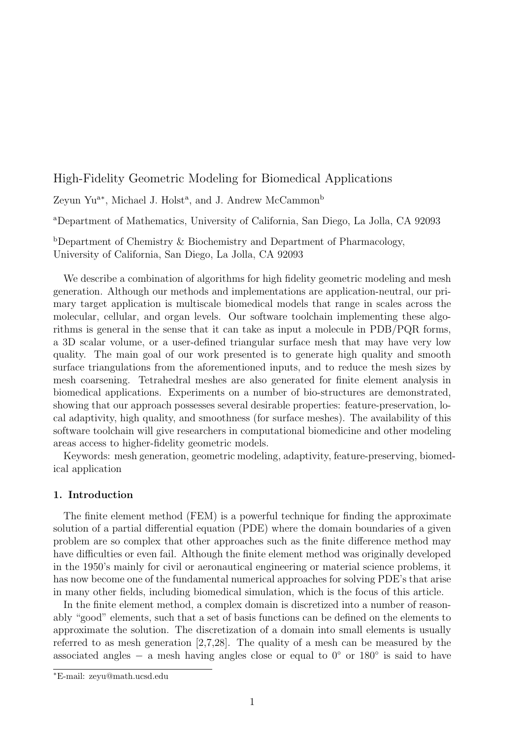# High-Fidelity Geometric Modeling for Biomedical Applications

Zeyun Yu<sup>a∗</sup>, Michael J. Holst<sup>a</sup>, and J. Andrew McCammon<sup>b</sup>

<sup>a</sup>Department of Mathematics, University of California, San Diego, La Jolla, CA 92093

<sup>b</sup>Department of Chemistry & Biochemistry and Department of Pharmacology, University of California, San Diego, La Jolla, CA 92093

We describe a combination of algorithms for high fidelity geometric modeling and mesh generation. Although our methods and implementations are application-neutral, our primary target application is multiscale biomedical models that range in scales across the molecular, cellular, and organ levels. Our software toolchain implementing these algorithms is general in the sense that it can take as input a molecule in PDB/PQR forms, a 3D scalar volume, or a user-defined triangular surface mesh that may have very low quality. The main goal of our work presented is to generate high quality and smooth surface triangulations from the aforementioned inputs, and to reduce the mesh sizes by mesh coarsening. Tetrahedral meshes are also generated for finite element analysis in biomedical applications. Experiments on a number of bio-structures are demonstrated, showing that our approach possesses several desirable properties: feature-preservation, local adaptivity, high quality, and smoothness (for surface meshes). The availability of this software toolchain will give researchers in computational biomedicine and other modeling areas access to higher-fidelity geometric models.

Keywords: mesh generation, geometric modeling, adaptivity, feature-preserving, biomedical application

## 1. Introduction

The finite element method (FEM) is a powerful technique for finding the approximate solution of a partial differential equation (PDE) where the domain boundaries of a given problem are so complex that other approaches such as the finite difference method may have difficulties or even fail. Although the finite element method was originally developed in the 1950's mainly for civil or aeronautical engineering or material science problems, it has now become one of the fundamental numerical approaches for solving PDE's that arise in many other fields, including biomedical simulation, which is the focus of this article.

In the finite element method, a complex domain is discretized into a number of reasonably "good" elements, such that a set of basis functions can be defined on the elements to approximate the solution. The discretization of a domain into small elements is usually referred to as mesh generation  $[2,7,28]$ . The quality of a mesh can be measured by the associated angles – a mesh having angles close or equal to  $0°$  or  $180°$  is said to have

<sup>∗</sup>E-mail: zeyu@math.ucsd.edu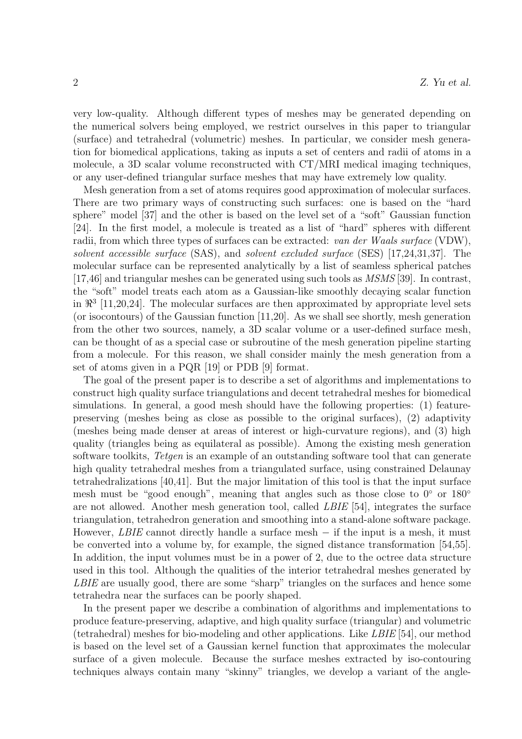very low-quality. Although different types of meshes may be generated depending on the numerical solvers being employed, we restrict ourselves in this paper to triangular (surface) and tetrahedral (volumetric) meshes. In particular, we consider mesh generation for biomedical applications, taking as inputs a set of centers and radii of atoms in a molecule, a 3D scalar volume reconstructed with CT/MRI medical imaging techniques, or any user-defined triangular surface meshes that may have extremely low quality.

Mesh generation from a set of atoms requires good approximation of molecular surfaces. There are two primary ways of constructing such surfaces: one is based on the "hard sphere" model [37] and the other is based on the level set of a "soft" Gaussian function [24]. In the first model, a molecule is treated as a list of "hard" spheres with different radii, from which three types of surfaces can be extracted: van der Waals surface (VDW), solvent accessible surface (SAS), and solvent excluded surface (SES) [17,24,31,37]. The molecular surface can be represented analytically by a list of seamless spherical patches [17,46] and triangular meshes can be generated using such tools as MSMS [39]. In contrast, the "soft" model treats each atom as a Gaussian-like smoothly decaying scalar function in  $\mathbb{R}^3$  [11,20,24]. The molecular surfaces are then approximated by appropriate level sets (or isocontours) of the Gaussian function [11,20]. As we shall see shortly, mesh generation from the other two sources, namely, a 3D scalar volume or a user-defined surface mesh, can be thought of as a special case or subroutine of the mesh generation pipeline starting from a molecule. For this reason, we shall consider mainly the mesh generation from a set of atoms given in a PQR [19] or PDB [9] format.

The goal of the present paper is to describe a set of algorithms and implementations to construct high quality surface triangulations and decent tetrahedral meshes for biomedical simulations. In general, a good mesh should have the following properties: (1) featurepreserving (meshes being as close as possible to the original surfaces), (2) adaptivity (meshes being made denser at areas of interest or high-curvature regions), and (3) high quality (triangles being as equilateral as possible). Among the existing mesh generation software toolkits, Tetgen is an example of an outstanding software tool that can generate high quality tetrahedral meshes from a triangulated surface, using constrained Delaunay tetrahedralizations [40,41]. But the major limitation of this tool is that the input surface mesh must be "good enough", meaning that angles such as those close to  $0°$  or  $180°$ are not allowed. Another mesh generation tool, called LBIE [54], integrates the surface triangulation, tetrahedron generation and smoothing into a stand-alone software package. However, LBIE cannot directly handle a surface mesh  $-$  if the input is a mesh, it must be converted into a volume by, for example, the signed distance transformation [54,55]. In addition, the input volumes must be in a power of 2, due to the octree data structure used in this tool. Although the qualities of the interior tetrahedral meshes generated by LBIE are usually good, there are some "sharp" triangles on the surfaces and hence some tetrahedra near the surfaces can be poorly shaped.

In the present paper we describe a combination of algorithms and implementations to produce feature-preserving, adaptive, and high quality surface (triangular) and volumetric (tetrahedral) meshes for bio-modeling and other applications. Like LBIE [54], our method is based on the level set of a Gaussian kernel function that approximates the molecular surface of a given molecule. Because the surface meshes extracted by iso-contouring techniques always contain many "skinny" triangles, we develop a variant of the angle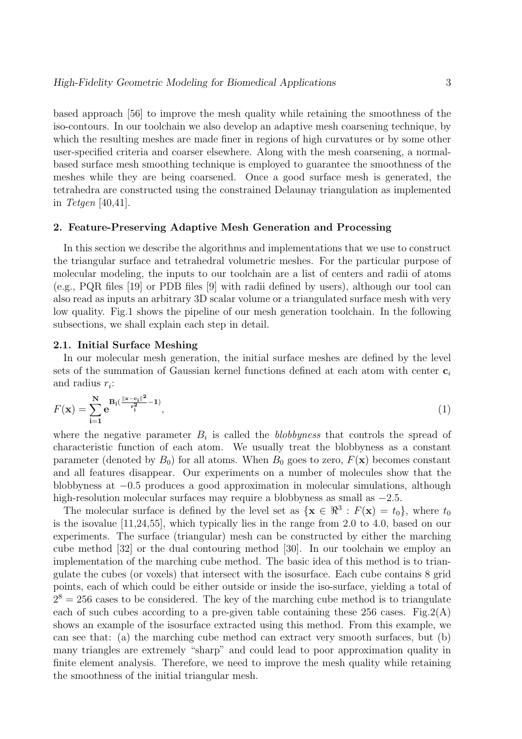based approach [56] to improve the mesh quality while retaining the smoothness of the iso-contours. In our toolchain we also develop an adaptive mesh coarsening technique, by which the resulting meshes are made finer in regions of high curvatures or by some other user-specified criteria and coarser elsewhere. Along with the mesh coarsening, a normalbased surface mesh smoothing technique is employed to guarantee the smoothness of the meshes while they are being coarsened. Once a good surface mesh is generated, the tetrahedra are constructed using the constrained Delaunay triangulation as implemented in Tetgen [40,41].

#### 2. Feature-Preserving Adaptive Mesh Generation and Processing

In this section we describe the algorithms and implementations that we use to construct the triangular surface and tetrahedral volumetric meshes. For the particular purpose of molecular modeling, the inputs to our toolchain are a list of centers and radii of atoms (e.g., PQR files [19] or PDB files [9] with radii defined by users), although our tool can also read as inputs an arbitrary 3D scalar volume or a triangulated surface mesh with very low quality. Fig.1 shows the pipeline of our mesh generation toolchain. In the following subsections, we shall explain each step in detail.

## 2.1. Initial Surface Meshing

In our molecular mesh generation, the initial surface meshes are defined by the level sets of the summation of Gaussian kernel functions defined at each atom with center  $c_i$ and radius  $r_i$ :

$$
F(\mathbf{x}) = \sum_{i=1}^{N} e^{-\sum_{i=1}^{\left|\mathbf{x} - \mathbf{c}_i\right|^2 - 1}},\tag{1}
$$

where the negative parameter  $B_i$  is called the blobbyness that controls the spread of characteristic function of each atom. We usually treat the blobbyness as a constant parameter (denoted by  $B_0$ ) for all atoms. When  $B_0$  goes to zero,  $F(\mathbf{x})$  becomes constant and all features disappear. Our experiments on a number of molecules show that the blobbyness at −0.5 produces a good approximation in molecular simulations, although high-resolution molecular surfaces may require a blobbyness as small as −2.5.

The molecular surface is defined by the level set as  $\{x \in \mathbb{R}^3 : F(x) = t_0\}$ , where  $t_0$ is the isovalue [11,24,55], which typically lies in the range from 2.0 to 4.0, based on our experiments. The surface (triangular) mesh can be constructed by either the marching cube method [32] or the dual contouring method [30]. In our toolchain we employ an implementation of the marching cube method. The basic idea of this method is to triangulate the cubes (or voxels) that intersect with the isosurface. Each cube contains 8 grid points, each of which could be either outside or inside the iso-surface, yielding a total of  $2^8 = 256$  cases to be considered. The key of the marching cube method is to triangulate each of such cubes according to a pre-given table containing these 256 cases. Fig.  $2(A)$ shows an example of the isosurface extracted using this method. From this example, we can see that: (a) the marching cube method can extract very smooth surfaces, but (b) many triangles are extremely "sharp" and could lead to poor approximation quality in finite element analysis. Therefore, we need to improve the mesh quality while retaining the smoothness of the initial triangular mesh.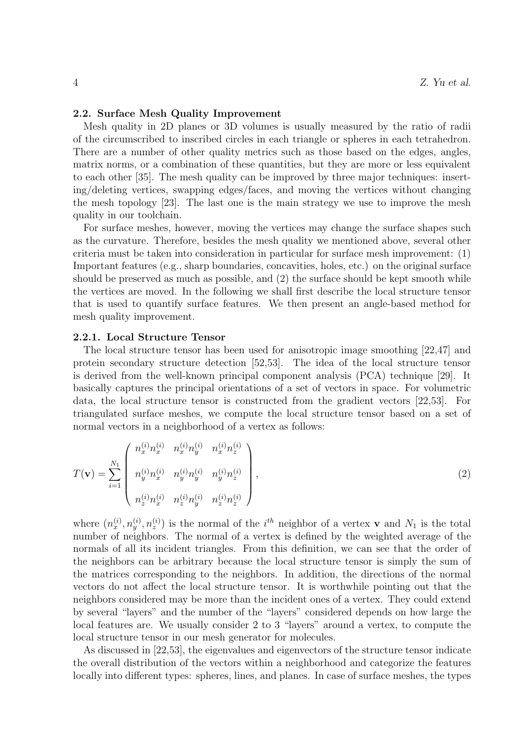## 2.2. Surface Mesh Quality Improvement

Mesh quality in 2D planes or 3D volumes is usually measured by the ratio of radii of the circumscribed to inscribed circles in each triangle or spheres in each tetrahedron. There are a number of other quality metrics such as those based on the edges, angles, matrix norms, or a combination of these quantities, but they are more or less equivalent to each other [35]. The mesh quality can be improved by three major techniques: inserting/deleting vertices, swapping edges/faces, and moving the vertices without changing the mesh topology [23]. The last one is the main strategy we use to improve the mesh quality in our toolchain.

For surface meshes, however, moving the vertices may change the surface shapes such as the curvature. Therefore, besides the mesh quality we mentioned above, several other criteria must be taken into consideration in particular for surface mesh improvement: (1) Important features (e.g., sharp boundaries, concavities, holes, etc.) on the original surface should be preserved as much as possible, and (2) the surface should be kept smooth while the vertices are moved. In the following we shall first describe the local structure tensor that is used to quantify surface features. We then present an angle-based method for mesh quality improvement.

### 2.2.1. Local Structure Tensor

The local structure tensor has been used for anisotropic image smoothing [22,47] and protein secondary structure detection [52,53]. The idea of the local structure tensor is derived from the well-known principal component analysis (PCA) technique [29]. It basically captures the principal orientations of a set of vectors in space. For volumetric data, the local structure tensor is constructed from the gradient vectors [22,53]. For triangulated surface meshes, we compute the local structure tensor based on a set of normal vectors in a neighborhood of a vertex as follows:

$$
T(\mathbf{v}) = \sum_{i=1}^{N_1} \begin{pmatrix} n_x^{(i)} n_x^{(i)} & n_x^{(i)} n_y^{(i)} & n_x^{(i)} n_z^{(i)} \\ n_y^{(i)} n_x^{(i)} & n_y^{(i)} n_y^{(i)} & n_y^{(i)} n_z^{(i)} \\ n_z^{(i)} n_x^{(i)} & n_z^{(i)} n_y^{(i)} & n_z^{(i)} n_z^{(i)} \end{pmatrix},
$$
\n(2)

where  $(n_x^{(i)}, n_y^{(i)}, n_z^{(i)})$  is the normal of the *i*<sup>th</sup> neighbor of a vertex **v** and  $N_1$  is the total number of neighbors. The normal of a vertex is defined by the weighted average of the normals of all its incident triangles. From this definition, we can see that the order of the neighbors can be arbitrary because the local structure tensor is simply the sum of the matrices corresponding to the neighbors. In addition, the directions of the normal vectors do not affect the local structure tensor. It is worthwhile pointing out that the neighbors considered may be more than the incident ones of a vertex. They could extend by several "layers" and the number of the "layers" considered depends on how large the local features are. We usually consider 2 to 3 "layers" around a vertex, to compute the local structure tensor in our mesh generator for molecules.

As discussed in [22,53], the eigenvalues and eigenvectors of the structure tensor indicate the overall distribution of the vectors within a neighborhood and categorize the features locally into different types: spheres, lines, and planes. In case of surface meshes, the types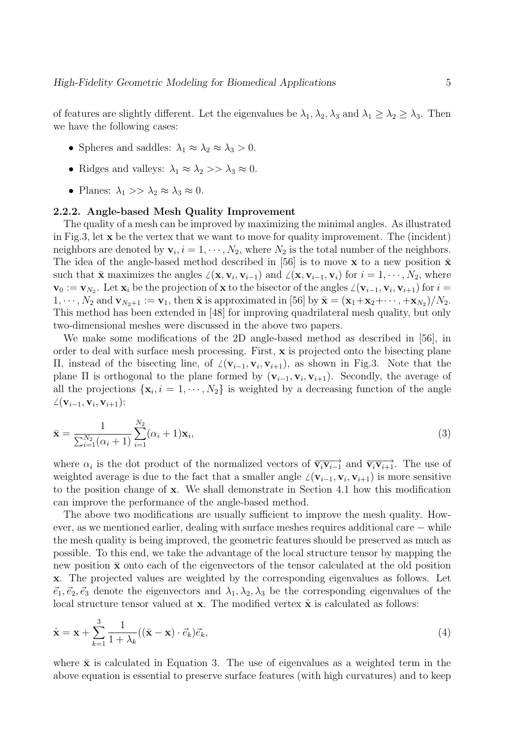of features are slightly different. Let the eigenvalues be  $\lambda_1, \lambda_2, \lambda_3$  and  $\lambda_1 \geq \lambda_2 \geq \lambda_3$ . Then we have the following cases:

- Spheres and saddles:  $\lambda_1 \approx \lambda_2 \approx \lambda_3 > 0$ .
- Ridges and valleys:  $\lambda_1 \approx \lambda_2 >> \lambda_3 \approx 0$ .
- Planes:  $\lambda_1 >> \lambda_2 \approx \lambda_3 \approx 0$ .

#### 2.2.2. Angle-based Mesh Quality Improvement

The quality of a mesh can be improved by maximizing the minimal angles. As illustrated in Fig.3, let  $x$  be the vertex that we want to move for quality improvement. The (incident) neighbors are denoted by  $\mathbf{v}_i, i = 1, \dots, N_2$ , where  $N_2$  is the total number of the neighbors. The idea of the angle-based method described in [56] is to move **x** to a new position  $\bar{x}$ such that  $\bar{\mathbf{x}}$  maximizes the angles  $\angle(\mathbf{x}, \mathbf{v}_i, \mathbf{v}_{i-1})$  and  $\angle(\mathbf{x}, \mathbf{v}_{i-1}, \mathbf{v}_i)$  for  $i = 1, \dots, N_2$ , where  $\mathbf{v}_0 := \mathbf{v}_{N_2}$ . Let  $\mathbf{x}_i$  be the projection of  $\mathbf{x}$  to the bisector of the angles  $\angle(\mathbf{v}_{i-1}, \mathbf{v}_i, \mathbf{v}_{i+1})$  for  $i =$  $1, \dots, N_2$  and  $\mathbf{v}_{N_2+1} := \mathbf{v}_1$ , then  $\bar{\mathbf{x}}$  is approximated in [56] by  $\bar{\mathbf{x}} = (\mathbf{x}_1 + \mathbf{x}_2 + \dots + \mathbf{x}_{N_2})/N_2$ . This method has been extended in [48] for improving quadrilateral mesh quality, but only two-dimensional meshes were discussed in the above two papers.

We make some modifications of the 2D angle-based method as described in [56], in order to deal with surface mesh processing. First,  $\bf{x}$  is projected onto the bisecting plane  $\Pi$ , instead of the bisecting line, of ∠(**v**<sub>*i*-1</sub>, **v**<sub>*i*</sub>, **v**<sub>*i*+1</sub>), as shown in Fig.3. Note that the plane  $\Pi$  is orthogonal to the plane formed by  $(\mathbf{v}_{i-1}, \mathbf{v}_i, \mathbf{v}_{i+1})$ . Secondly, the average of all the projections  $\{x_i, i = 1, \dots, N_2\}$  is weighted by a decreasing function of the angle  $\angle(\mathbf{v}_{i-1}, \mathbf{v}_i, \mathbf{v}_{i+1})$ :

$$
\bar{\mathbf{x}} = \frac{1}{\sum_{i=1}^{N_2} (\alpha_i + 1)} \sum_{i=1}^{N_2} (\alpha_i + 1) \mathbf{x}_i,
$$
\n(3)

where  $\alpha_i$  is the dot product of the normalized vectors of  $\overrightarrow{v_i v_{i-1}}$  and  $\overrightarrow{v_i v_{i+1}}$ . The use of weighted average is due to the fact that a smaller angle  $\angle(\mathbf{v}_{i-1}, \mathbf{v}_i, \mathbf{v}_{i+1})$  is more sensitive to the position change of x. We shall demonstrate in Section 4.1 how this modification can improve the performance of the angle-based method.

The above two modifications are usually sufficient to improve the mesh quality. However, as we mentioned earlier, dealing with surface meshes requires additional care − while the mesh quality is being improved, the geometric features should be preserved as much as possible. To this end, we take the advantage of the local structure tensor by mapping the new position  $\bar{x}$  onto each of the eigenvectors of the tensor calculated at the old position x. The projected values are weighted by the corresponding eigenvalues as follows. Let  $\vec{e}_1, \vec{e}_2, \vec{e}_3$  denote the eigenvectors and  $\lambda_1, \lambda_2, \lambda_3$  be the corresponding eigenvalues of the local structure tensor valued at  $x$ . The modified vertex  $\hat{x}$  is calculated as follows:

$$
\hat{\mathbf{x}} = \mathbf{x} + \sum_{k=1}^{3} \frac{1}{1 + \lambda_k} ((\bar{\mathbf{x}} - \mathbf{x}) \cdot \vec{e}_k) \vec{e}_k, \tag{4}
$$

where  $\bar{x}$  is calculated in Equation 3. The use of eigenvalues as a weighted term in the above equation is essential to preserve surface features (with high curvatures) and to keep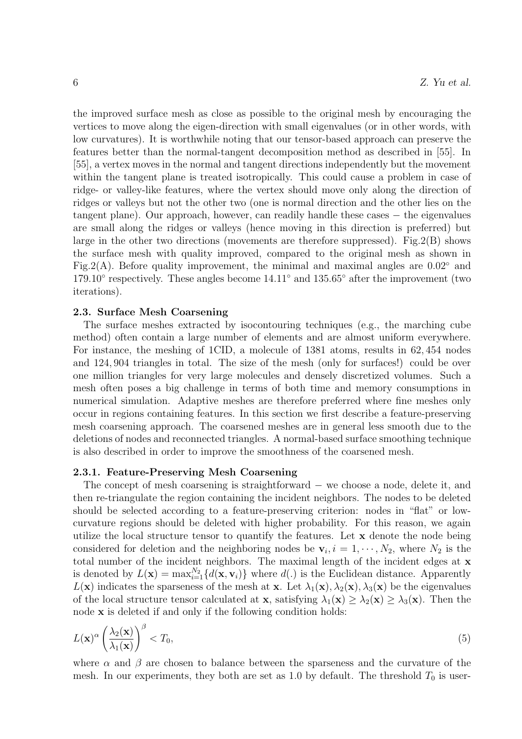the improved surface mesh as close as possible to the original mesh by encouraging the vertices to move along the eigen-direction with small eigenvalues (or in other words, with low curvatures). It is worthwhile noting that our tensor-based approach can preserve the features better than the normal-tangent decomposition method as described in [55]. In [55], a vertex moves in the normal and tangent directions independently but the movement within the tangent plane is treated isotropically. This could cause a problem in case of ridge- or valley-like features, where the vertex should move only along the direction of ridges or valleys but not the other two (one is normal direction and the other lies on the tangent plane). Our approach, however, can readily handle these cases − the eigenvalues are small along the ridges or valleys (hence moving in this direction is preferred) but large in the other two directions (movements are therefore suppressed). Fig.  $2(B)$  shows the surface mesh with quality improved, compared to the original mesh as shown in Fig.2(A). Before quality improvement, the minimal and maximal angles are  $0.02°$  and 179.10° respectively. These angles become 14.11° and 135.65° after the improvement (two iterations).

#### 2.3. Surface Mesh Coarsening

The surface meshes extracted by isocontouring techniques (e.g., the marching cube method) often contain a large number of elements and are almost uniform everywhere. For instance, the meshing of 1CID, a molecule of 1381 atoms, results in 62, 454 nodes and 124, 904 triangles in total. The size of the mesh (only for surfaces!) could be over one million triangles for very large molecules and densely discretized volumes. Such a mesh often poses a big challenge in terms of both time and memory consumptions in numerical simulation. Adaptive meshes are therefore preferred where fine meshes only occur in regions containing features. In this section we first describe a feature-preserving mesh coarsening approach. The coarsened meshes are in general less smooth due to the deletions of nodes and reconnected triangles. A normal-based surface smoothing technique is also described in order to improve the smoothness of the coarsened mesh.

#### 2.3.1. Feature-Preserving Mesh Coarsening

The concept of mesh coarsening is straightforward – we choose a node, delete it, and then re-triangulate the region containing the incident neighbors. The nodes to be deleted should be selected according to a feature-preserving criterion: nodes in "flat" or lowcurvature regions should be deleted with higher probability. For this reason, we again utilize the local structure tensor to quantify the features. Let  $x$  denote the node being considered for deletion and the neighboring nodes be  $\mathbf{v}_i, i = 1, \dots, N_2$ , where  $N_2$  is the total number of the incident neighbors. The maximal length of the incident edges at x is denoted by  $L(\mathbf{x}) = \max_{i=1}^{N_2} \{d(\mathbf{x}, \mathbf{v}_i)\}\$  where  $d(.)$  is the Euclidean distance. Apparently  $L(\mathbf{x})$  indicates the sparseness of the mesh at **x**. Let  $\lambda_1(\mathbf{x}), \lambda_2(\mathbf{x}), \lambda_3(\mathbf{x})$  be the eigenvalues of the local structure tensor calculated at **x**, satisfying  $\lambda_1(\mathbf{x}) > \lambda_2(\mathbf{x}) > \lambda_3(\mathbf{x})$ . Then the node **x** is deleted if and only if the following condition holds:

$$
L(\mathbf{x})^{\alpha} \left(\frac{\lambda_2(\mathbf{x})}{\lambda_1(\mathbf{x})}\right)^{\beta} < T_0,\tag{5}
$$

where  $\alpha$  and  $\beta$  are chosen to balance between the sparseness and the curvature of the mesh. In our experiments, they both are set as 1.0 by default. The threshold  $T_0$  is user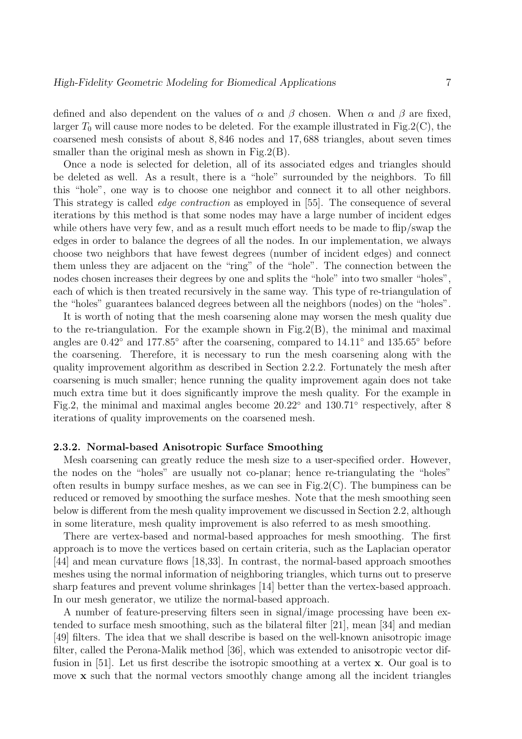defined and also dependent on the values of  $\alpha$  and  $\beta$  chosen. When  $\alpha$  and  $\beta$  are fixed, larger  $T_0$  will cause more nodes to be deleted. For the example illustrated in Fig.2(C), the coarsened mesh consists of about 8, 846 nodes and 17, 688 triangles, about seven times smaller than the original mesh as shown in Fig.2(B).

Once a node is selected for deletion, all of its associated edges and triangles should be deleted as well. As a result, there is a "hole" surrounded by the neighbors. To fill this "hole", one way is to choose one neighbor and connect it to all other neighbors. This strategy is called edge contraction as employed in [55]. The consequence of several iterations by this method is that some nodes may have a large number of incident edges while others have very few, and as a result much effort needs to be made to flip/swap the edges in order to balance the degrees of all the nodes. In our implementation, we always choose two neighbors that have fewest degrees (number of incident edges) and connect them unless they are adjacent on the "ring" of the "hole". The connection between the nodes chosen increases their degrees by one and splits the "hole" into two smaller "holes", each of which is then treated recursively in the same way. This type of re-triangulation of the "holes" guarantees balanced degrees between all the neighbors (nodes) on the "holes".

It is worth of noting that the mesh coarsening alone may worsen the mesh quality due to the re-triangulation. For the example shown in Fig.  $2(B)$ , the minimal and maximal angles are 0.42◦ and 177.85◦ after the coarsening, compared to 14.11◦ and 135.65◦ before the coarsening. Therefore, it is necessary to run the mesh coarsening along with the quality improvement algorithm as described in Section 2.2.2. Fortunately the mesh after coarsening is much smaller; hence running the quality improvement again does not take much extra time but it does significantly improve the mesh quality. For the example in Fig.2, the minimal and maximal angles become 20.22◦ and 130.71◦ respectively, after 8 iterations of quality improvements on the coarsened mesh.

#### 2.3.2. Normal-based Anisotropic Surface Smoothing

Mesh coarsening can greatly reduce the mesh size to a user-specified order. However, the nodes on the "holes" are usually not co-planar; hence re-triangulating the "holes" often results in bumpy surface meshes, as we can see in Fig.2(C). The bumpiness can be reduced or removed by smoothing the surface meshes. Note that the mesh smoothing seen below is different from the mesh quality improvement we discussed in Section 2.2, although in some literature, mesh quality improvement is also referred to as mesh smoothing.

There are vertex-based and normal-based approaches for mesh smoothing. The first approach is to move the vertices based on certain criteria, such as the Laplacian operator [44] and mean curvature flows [18,33]. In contrast, the normal-based approach smoothes meshes using the normal information of neighboring triangles, which turns out to preserve sharp features and prevent volume shrinkages [14] better than the vertex-based approach. In our mesh generator, we utilize the normal-based approach.

A number of feature-preserving filters seen in signal/image processing have been extended to surface mesh smoothing, such as the bilateral filter [21], mean [34] and median [49] filters. The idea that we shall describe is based on the well-known anisotropic image filter, called the Perona-Malik method [36], which was extended to anisotropic vector diffusion in [51]. Let us first describe the isotropic smoothing at a vertex x. Our goal is to move x such that the normal vectors smoothly change among all the incident triangles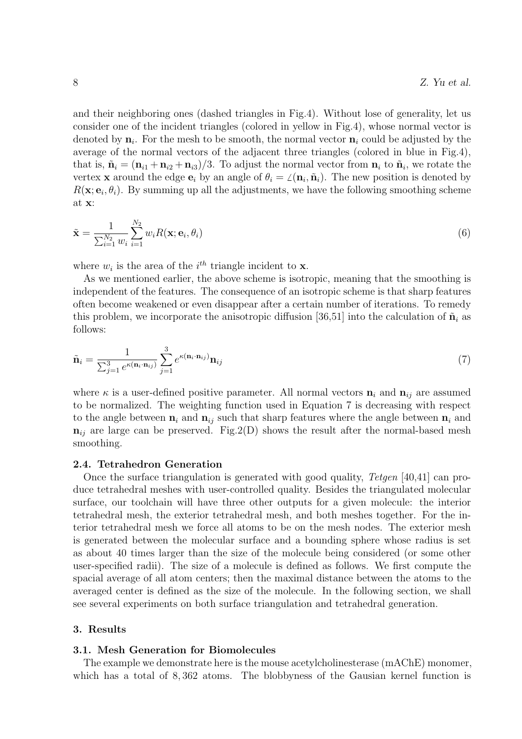and their neighboring ones (dashed triangles in Fig.4). Without lose of generality, let us consider one of the incident triangles (colored in yellow in Fig.4), whose normal vector is denoted by  $\mathbf{n}_i$ . For the mesh to be smooth, the normal vector  $\mathbf{n}_i$  could be adjusted by the average of the normal vectors of the adjacent three triangles (colored in blue in Fig.4), that is,  $\tilde{\mathbf{n}}_i = (\mathbf{n}_{i1} + \mathbf{n}_{i2} + \mathbf{n}_{i3})/3$ . To adjust the normal vector from  $\mathbf{n}_i$  to  $\tilde{\mathbf{n}}_i$ , we rotate the vertex **x** around the edge  $e_i$  by an angle of  $\theta_i = \angle(\mathbf{n}_i, \tilde{\mathbf{n}}_i)$ . The new position is denoted by  $R(\mathbf{x}; \mathbf{e}_i, \theta_i)$ . By summing up all the adjustments, we have the following smoothing scheme at x:

$$
\tilde{\mathbf{x}} = \frac{1}{\sum_{i=1}^{N_2} w_i} \sum_{i=1}^{N_2} w_i R(\mathbf{x}; \mathbf{e}_i, \theta_i)
$$
(6)

where  $w_i$  is the area of the  $i^{th}$  triangle incident to **x**.

As we mentioned earlier, the above scheme is isotropic, meaning that the smoothing is independent of the features. The consequence of an isotropic scheme is that sharp features often become weakened or even disappear after a certain number of iterations. To remedy this problem, we incorporate the anisotropic diffusion [36,51] into the calculation of  $\tilde{\mathbf{n}}_i$  as follows:

$$
\tilde{\mathbf{n}}_i = \frac{1}{\sum_{j=1}^3 e^{\kappa(\mathbf{n}_i \cdot \mathbf{n}_{ij})}} \sum_{j=1}^3 e^{\kappa(\mathbf{n}_i \cdot \mathbf{n}_{ij})} \mathbf{n}_{ij}
$$
\n(7)

where  $\kappa$  is a user-defined positive parameter. All normal vectors  $\mathbf{n}_i$  and  $\mathbf{n}_{ij}$  are assumed to be normalized. The weighting function used in Equation 7 is decreasing with respect to the angle between  $n_i$  and  $n_{ij}$  such that sharp features where the angle between  $n_i$  and  $n_{ij}$  are large can be preserved. Fig. 2(D) shows the result after the normal-based mesh smoothing.

#### 2.4. Tetrahedron Generation

Once the surface triangulation is generated with good quality, Tetgen [40,41] can produce tetrahedral meshes with user-controlled quality. Besides the triangulated molecular surface, our toolchain will have three other outputs for a given molecule: the interior tetrahedral mesh, the exterior tetrahedral mesh, and both meshes together. For the interior tetrahedral mesh we force all atoms to be on the mesh nodes. The exterior mesh is generated between the molecular surface and a bounding sphere whose radius is set as about 40 times larger than the size of the molecule being considered (or some other user-specified radii). The size of a molecule is defined as follows. We first compute the spacial average of all atom centers; then the maximal distance between the atoms to the averaged center is defined as the size of the molecule. In the following section, we shall see several experiments on both surface triangulation and tetrahedral generation.

## 3. Results

#### 3.1. Mesh Generation for Biomolecules

The example we demonstrate here is the mouse acetylcholinesterase (mAChE) monomer, which has a total of 8, 362 atoms. The blobbyness of the Gausian kernel function is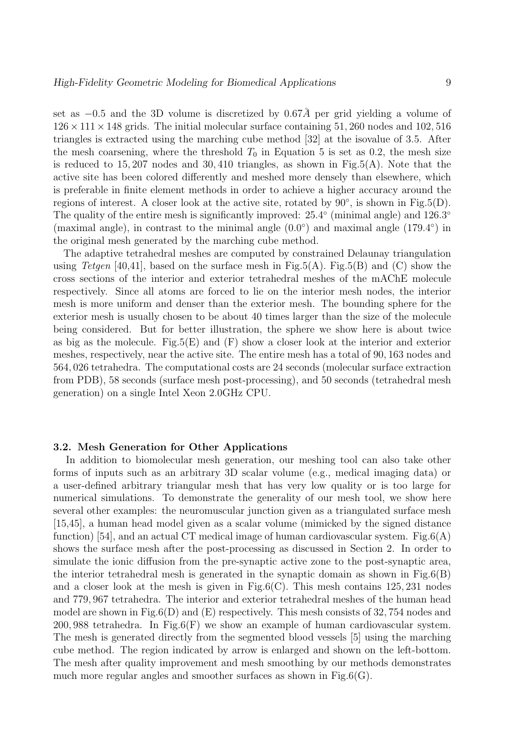set as  $-0.5$  and the 3D volume is discretized by  $0.67\AA$  per grid yielding a volume of  $126 \times 111 \times 148$  grids. The initial molecular surface containing 51, 260 nodes and 102, 516 triangles is extracted using the marching cube method [32] at the isovalue of 3.5. After the mesh coarsening, where the threshold  $T_0$  in Equation 5 is set as 0.2, the mesh size is reduced to  $15,207$  nodes and  $30,410$  triangles, as shown in Fig.5(A). Note that the active site has been colored differently and meshed more densely than elsewhere, which is preferable in finite element methods in order to achieve a higher accuracy around the regions of interest. A closer look at the active site, rotated by  $90^\circ$ , is shown in Fig.5(D). The quality of the entire mesh is significantly improved:  $25.4^{\circ}$  (minimal angle) and  $126.3^{\circ}$ (maximal angle), in contrast to the minimal angle  $(0.0^{\circ})$  and maximal angle  $(179.4^{\circ})$  in the original mesh generated by the marching cube method.

The adaptive tetrahedral meshes are computed by constrained Delaunay triangulation using Tetgen [40,41], based on the surface mesh in Fig.5(A). Fig.5(B) and (C) show the cross sections of the interior and exterior tetrahedral meshes of the mAChE molecule respectively. Since all atoms are forced to lie on the interior mesh nodes, the interior mesh is more uniform and denser than the exterior mesh. The bounding sphere for the exterior mesh is usually chosen to be about 40 times larger than the size of the molecule being considered. But for better illustration, the sphere we show here is about twice as big as the molecule. Fig.5(E) and  $(F)$  show a closer look at the interior and exterior meshes, respectively, near the active site. The entire mesh has a total of 90, 163 nodes and 564, 026 tetrahedra. The computational costs are 24 seconds (molecular surface extraction from PDB), 58 seconds (surface mesh post-processing), and 50 seconds (tetrahedral mesh generation) on a single Intel Xeon 2.0GHz CPU.

## 3.2. Mesh Generation for Other Applications

In addition to biomolecular mesh generation, our meshing tool can also take other forms of inputs such as an arbitrary 3D scalar volume (e.g., medical imaging data) or a user-defined arbitrary triangular mesh that has very low quality or is too large for numerical simulations. To demonstrate the generality of our mesh tool, we show here several other examples: the neuromuscular junction given as a triangulated surface mesh [15,45], a human head model given as a scalar volume (mimicked by the signed distance function) [54], and an actual CT medical image of human cardiovascular system. Fig.6(A) shows the surface mesh after the post-processing as discussed in Section 2. In order to simulate the ionic diffusion from the pre-synaptic active zone to the post-synaptic area, the interior tetrahedral mesh is generated in the synaptic domain as shown in Fig.6(B) and a closer look at the mesh is given in Fig.6(C). This mesh contains  $125, 231$  nodes and 779, 967 tetrahedra. The interior and exterior tetrahedral meshes of the human head model are shown in Fig.6(D) and  $(E)$  respectively. This mesh consists of 32, 754 nodes and 200, 988 tetrahedra. In Fig.6(F) we show an example of human cardiovascular system. The mesh is generated directly from the segmented blood vessels [5] using the marching cube method. The region indicated by arrow is enlarged and shown on the left-bottom. The mesh after quality improvement and mesh smoothing by our methods demonstrates much more regular angles and smoother surfaces as shown in Fig.6(G).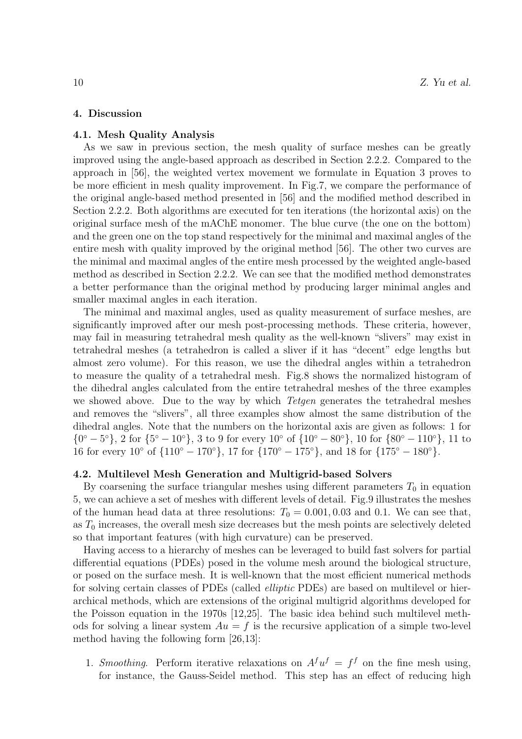## 4. Discussion

#### 4.1. Mesh Quality Analysis

As we saw in previous section, the mesh quality of surface meshes can be greatly improved using the angle-based approach as described in Section 2.2.2. Compared to the approach in [56], the weighted vertex movement we formulate in Equation 3 proves to be more efficient in mesh quality improvement. In Fig.7, we compare the performance of the original angle-based method presented in [56] and the modified method described in Section 2.2.2. Both algorithms are executed for ten iterations (the horizontal axis) on the original surface mesh of the mAChE monomer. The blue curve (the one on the bottom) and the green one on the top stand respectively for the minimal and maximal angles of the entire mesh with quality improved by the original method [56]. The other two curves are the minimal and maximal angles of the entire mesh processed by the weighted angle-based method as described in Section 2.2.2. We can see that the modified method demonstrates a better performance than the original method by producing larger minimal angles and smaller maximal angles in each iteration.

The minimal and maximal angles, used as quality measurement of surface meshes, are significantly improved after our mesh post-processing methods. These criteria, however, may fail in measuring tetrahedral mesh quality as the well-known "slivers" may exist in tetrahedral meshes (a tetrahedron is called a sliver if it has "decent" edge lengths but almost zero volume). For this reason, we use the dihedral angles within a tetrahedron to measure the quality of a tetrahedral mesh. Fig.8 shows the normalized histogram of the dihedral angles calculated from the entire tetrahedral meshes of the three examples we showed above. Due to the way by which *Tetgen* generates the tetrahedral meshes and removes the "slivers", all three examples show almost the same distribution of the dihedral angles. Note that the numbers on the horizontal axis are given as follows: 1 for  ${0^{\circ}} - 5^{\circ}$ , 2 for  ${5^{\circ}} - 10^{\circ}$ , 3 to 9 for every  $10^{\circ}$  of  ${10^{\circ}} - 80^{\circ}$ , 10 for  ${80^{\circ}} - 110^{\circ}$ , 11 to 16 for every  $10°$  of  $\{110° - 170°\}$ , 17 for  $\{170° - 175°\}$ , and 18 for  $\{175° - 180°\}$ .

#### 4.2. Multilevel Mesh Generation and Multigrid-based Solvers

By coarsening the surface triangular meshes using different parameters  $T_0$  in equation 5, we can achieve a set of meshes with different levels of detail. Fig.9 illustrates the meshes of the human head data at three resolutions:  $T_0 = 0.001, 0.03$  and 0.1. We can see that, as  $T_0$  increases, the overall mesh size decreases but the mesh points are selectively deleted so that important features (with high curvature) can be preserved.

Having access to a hierarchy of meshes can be leveraged to build fast solvers for partial differential equations (PDEs) posed in the volume mesh around the biological structure, or posed on the surface mesh. It is well-known that the most efficient numerical methods for solving certain classes of PDEs (called elliptic PDEs) are based on multilevel or hierarchical methods, which are extensions of the original multigrid algorithms developed for the Poisson equation in the 1970s [12,25]. The basic idea behind such multilevel methods for solving a linear system  $Au = f$  is the recursive application of a simple two-level method having the following form [26,13]:

1. Smoothing. Perform iterative relaxations on  $A^f u^f = f^f$  on the fine mesh using, for instance, the Gauss-Seidel method. This step has an effect of reducing high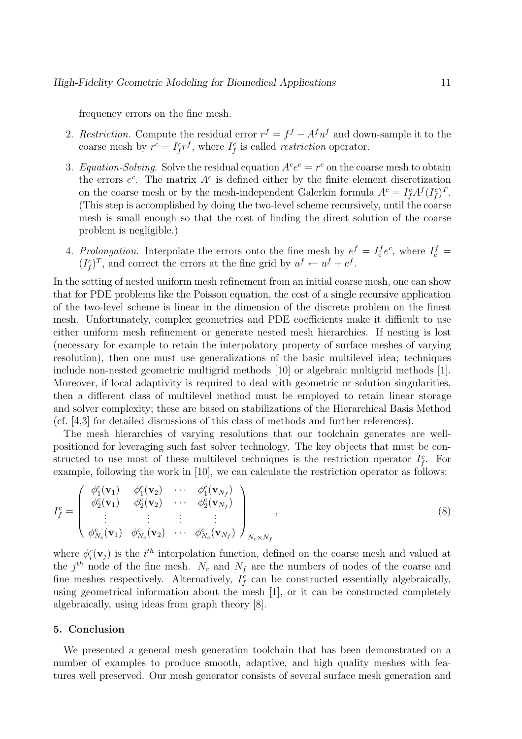frequency errors on the fine mesh.

- 2. Restriction. Compute the residual error  $r^f = f^f A^f u^f$  and down-sample it to the coarse mesh by  $r^c = I_f^{c}r^f$ , where  $I_f^{c}$  is called *restriction* operator.
- 3. Equation-Solving. Solve the residual equation  $A^c e^c = r^c$  on the coarse mesh to obtain the errors  $e^c$ . The matrix  $A^c$  is defined either by the finite element discretization on the coarse mesh or by the mesh-independent Galerkin formula  $A^c = I_f^c A^f (I_f^c)^T$ . (This step is accomplished by doing the two-level scheme recursively, until the coarse mesh is small enough so that the cost of finding the direct solution of the coarse problem is negligible.)
- 4. Prolongation. Interpolate the errors onto the fine mesh by  $e^f = I_c^f e^c$ , where  $I_c^f =$  $(I_f^c)^T$ , and correct the errors at the fine grid by  $u^f \leftarrow u^f + e^f$ .

In the setting of nested uniform mesh refinement from an initial coarse mesh, one can show that for PDE problems like the Poisson equation, the cost of a single recursive application of the two-level scheme is linear in the dimension of the discrete problem on the finest mesh. Unfortunately, complex geometries and PDE coefficients make it difficult to use either uniform mesh refinement or generate nested mesh hierarchies. If nesting is lost (necessary for example to retain the interpolatory property of surface meshes of varying resolution), then one must use generalizations of the basic multilevel idea; techniques include non-nested geometric multigrid methods [10] or algebraic multigrid methods [1]. Moreover, if local adaptivity is required to deal with geometric or solution singularities, then a different class of multilevel method must be employed to retain linear storage and solver complexity; these are based on stabilizations of the Hierarchical Basis Method (cf. [4,3] for detailed discussions of this class of methods and further references).

The mesh hierarchies of varying resolutions that our toolchain generates are wellpositioned for leveraging such fast solver technology. The key objects that must be constructed to use most of these multilevel techniques is the restriction operator  $I_f^c$ . For example, following the work in [10], we can calculate the restriction operator as follows:

$$
I_f^c = \begin{pmatrix} \phi_1^c(\mathbf{v}_1) & \phi_1^c(\mathbf{v}_2) & \cdots & \phi_1^c(\mathbf{v}_{N_f}) \\ \phi_2^c(\mathbf{v}_1) & \phi_2^c(\mathbf{v}_2) & \cdots & \phi_2^c(\mathbf{v}_{N_f}) \\ \vdots & \vdots & \vdots & \vdots \\ \phi_{N_c}^c(\mathbf{v}_1) & \phi_{N_c}^c(\mathbf{v}_2) & \cdots & \phi_{N_c}^c(\mathbf{v}_{N_f}) \end{pmatrix}_{N_c \times N_f},
$$
\n(8)

where  $\phi_i^c(\mathbf{v}_j)$  is the *i*<sup>th</sup> interpolation function, defined on the coarse mesh and valued at the  $j<sup>th</sup>$  node of the fine mesh.  $N_c$  and  $N_f$  are the numbers of nodes of the coarse and fine meshes respectively. Alternatively,  $I_f^c$  can be constructed essentially algebraically, using geometrical information about the mesh [1], or it can be constructed completely algebraically, using ideas from graph theory [8].

### 5. Conclusion

We presented a general mesh generation toolchain that has been demonstrated on a number of examples to produce smooth, adaptive, and high quality meshes with features well preserved. Our mesh generator consists of several surface mesh generation and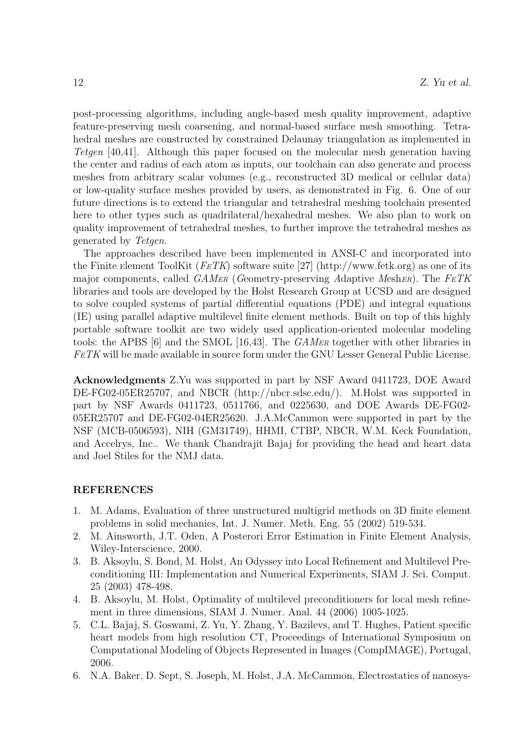post-processing algorithms, including angle-based mesh quality improvement, adaptive feature-preserving mesh coarsening, and normal-based surface mesh smoothing. Tetrahedral meshes are constructed by constrained Delaunay triangulation as implemented in Tetgen [40,41]. Although this paper focused on the molecular mesh generation having the center and radius of each atom as inputs, our toolchain can also generate and process meshes from arbitrary scalar volumes (e.g., reconstructed 3D medical or cellular data) or low-quality surface meshes provided by users, as demonstrated in Fig. 6. One of our future directions is to extend the triangular and tetrahedral meshing toolchain presented here to other types such as quadrilateral/hexahedral meshes. We also plan to work on quality improvement of tetrahedral meshes, to further improve the tetrahedral meshes as generated by Tetgen.

The approaches described have been implemented in ANSI-C and incorporated into the Finite Element ToolKit ( $FETK$ ) software suite [27] (http://www.fetk.org) as one of its major components, called  $GAM_{ER}$  (Geometry-preserving Adaptive MeshER). The  $FETK$ libraries and tools are developed by the Holst Research Group at UCSD and are designed to solve coupled systems of partial differential equations (PDE) and integral equations (IE) using parallel adaptive multilevel finite element methods. Built on top of this highly portable software toolkit are two widely used application-oriented molecular modeling tools: the APBS [6] and the SMOL [16,43]. The GAMER together with other libraries in FETK will be made available in source form under the GNU Lesser General Public License.

Acknowledgments Z.Yu was supported in part by NSF Award 0411723, DOE Award DE-FG02-05ER25707, and NBCR (http://nbcr.sdsc.edu/). M.Holst was supported in part by NSF Awards 0411723, 0511766, and 0225630, and DOE Awards DE-FG02- 05ER25707 and DE-FG02-04ER25620. J.A.McCammon were supported in part by the NSF (MCB-0506593), NIH (GM31749), HHMI, CTBP, NBCR, W.M. Keck Foundation, and Accelrys, Inc.. We thank Chandrajit Bajaj for providing the head and heart data and Joel Stiles for the NMJ data.

## REFERENCES

- 1. M. Adams, Evaluation of three unstructured multigrid methods on 3D finite element problems in solid mechanics, Int. J. Numer. Meth. Eng. 55 (2002) 519-534.
- 2. M. Ainsworth, J.T. Oden, A Posterori Error Estimation in Finite Element Analysis, Wiley-Interscience, 2000.
- 3. B. Aksoylu, S. Bond, M. Holst, An Odyssey into Local Refinement and Multilevel Preconditioning III: Implementation and Numerical Experiments, SIAM J. Sci. Comput. 25 (2003) 478-498.
- 4. B. Aksoylu, M. Holst, Optimality of multilevel preconditioners for local mesh refinement in three dimensions, SIAM J. Numer. Anal. 44 (2006) 1005-1025.
- 5. C.L. Bajaj, S. Goswami, Z. Yu, Y. Zhang, Y. Bazilevs, and T. Hughes, Patient specific heart models from high resolution CT, Proceedings of International Symposium on Computational Modeling of Objects Represented in Images (CompIMAGE), Portugal, 2006.
- 6. N.A. Baker, D. Sept, S. Joseph, M. Holst, J.A. McCammon, Electrostatics of nanosys-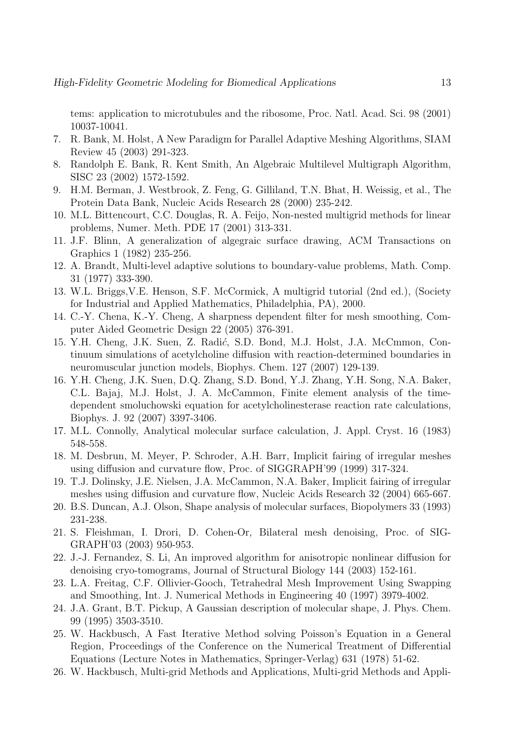tems: application to microtubules and the ribosome, Proc. Natl. Acad. Sci. 98 (2001) 10037-10041.

- 7. R. Bank, M. Holst, A New Paradigm for Parallel Adaptive Meshing Algorithms, SIAM Review 45 (2003) 291-323.
- 8. Randolph E. Bank, R. Kent Smith, An Algebraic Multilevel Multigraph Algorithm, SISC 23 (2002) 1572-1592.
- 9. H.M. Berman, J. Westbrook, Z. Feng, G. Gilliland, T.N. Bhat, H. Weissig, et al., The Protein Data Bank, Nucleic Acids Research 28 (2000) 235-242.
- 10. M.L. Bittencourt, C.C. Douglas, R. A. Feijo, Non-nested multigrid methods for linear problems, Numer. Meth. PDE 17 (2001) 313-331.
- 11. J.F. Blinn, A generalization of algegraic surface drawing, ACM Transactions on Graphics 1 (1982) 235-256.
- 12. A. Brandt, Multi-level adaptive solutions to boundary-value problems, Math. Comp. 31 (1977) 333-390.
- 13. W.L. Briggs,V.E. Henson, S.F. McCormick, A multigrid tutorial (2nd ed.), (Society for Industrial and Applied Mathematics, Philadelphia, PA), 2000.
- 14. C.-Y. Chena, K.-Y. Cheng, A sharpness dependent filter for mesh smoothing, Computer Aided Geometric Design 22 (2005) 376-391.
- 15. Y.H. Cheng, J.K. Suen, Z. Radić, S.D. Bond, M.J. Holst, J.A. McCmmon, Continuum simulations of acetylcholine diffusion with reaction-determined boundaries in neuromuscular junction models, Biophys. Chem. 127 (2007) 129-139.
- 16. Y.H. Cheng, J.K. Suen, D.Q. Zhang, S.D. Bond, Y.J. Zhang, Y.H. Song, N.A. Baker, C.L. Bajaj, M.J. Holst, J. A. McCammon, Finite element analysis of the timedependent smoluchowski equation for acetylcholinesterase reaction rate calculations, Biophys. J. 92 (2007) 3397-3406.
- 17. M.L. Connolly, Analytical molecular surface calculation, J. Appl. Cryst. 16 (1983) 548-558.
- 18. M. Desbrun, M. Meyer, P. Schroder, A.H. Barr, Implicit fairing of irregular meshes using diffusion and curvature flow, Proc. of SIGGRAPH'99 (1999) 317-324.
- 19. T.J. Dolinsky, J.E. Nielsen, J.A. McCammon, N.A. Baker, Implicit fairing of irregular meshes using diffusion and curvature flow, Nucleic Acids Research 32 (2004) 665-667.
- 20. B.S. Duncan, A.J. Olson, Shape analysis of molecular surfaces, Biopolymers 33 (1993) 231-238.
- 21. S. Fleishman, I. Drori, D. Cohen-Or, Bilateral mesh denoising, Proc. of SIG-GRAPH'03 (2003) 950-953.
- 22. J.-J. Fernandez, S. Li, An improved algorithm for anisotropic nonlinear diffusion for denoising cryo-tomograms, Journal of Structural Biology 144 (2003) 152-161.
- 23. L.A. Freitag, C.F. Ollivier-Gooch, Tetrahedral Mesh Improvement Using Swapping and Smoothing, Int. J. Numerical Methods in Engineering 40 (1997) 3979-4002.
- 24. J.A. Grant, B.T. Pickup, A Gaussian description of molecular shape, J. Phys. Chem. 99 (1995) 3503-3510.
- 25. W. Hackbusch, A Fast Iterative Method solving Poisson's Equation in a General Region, Proceedings of the Conference on the Numerical Treatment of Differential Equations (Lecture Notes in Mathematics, Springer-Verlag) 631 (1978) 51-62.
- 26. W. Hackbusch, Multi-grid Methods and Applications, Multi-grid Methods and Appli-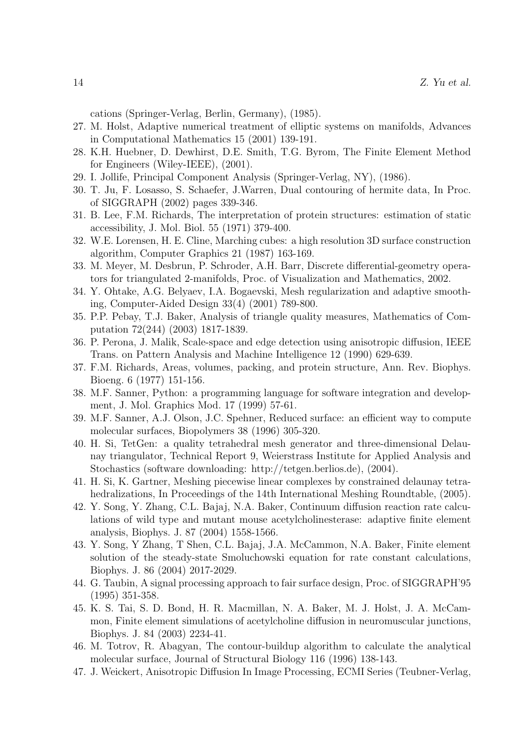cations (Springer-Verlag, Berlin, Germany), (1985).

- 27. M. Holst, Adaptive numerical treatment of elliptic systems on manifolds, Advances in Computational Mathematics 15 (2001) 139-191.
- 28. K.H. Huebner, D. Dewhirst, D.E. Smith, T.G. Byrom, The Finite Element Method for Engineers (Wiley-IEEE), (2001).
- 29. I. Jollife, Principal Component Analysis (Springer-Verlag, NY), (1986).
- 30. T. Ju, F. Losasso, S. Schaefer, J.Warren, Dual contouring of hermite data, In Proc. of SIGGRAPH (2002) pages 339-346.
- 31. B. Lee, F.M. Richards, The interpretation of protein structures: estimation of static accessibility, J. Mol. Biol. 55 (1971) 379-400.
- 32. W.E. Lorensen, H. E. Cline, Marching cubes: a high resolution 3D surface construction algorithm, Computer Graphics 21 (1987) 163-169.
- 33. M. Meyer, M. Desbrun, P. Schroder, A.H. Barr, Discrete differential-geometry operators for triangulated 2-manifolds, Proc. of Visualization and Mathematics, 2002.
- 34. Y. Ohtake, A.G. Belyaev, I.A. Bogaevski, Mesh regularization and adaptive smoothing, Computer-Aided Design 33(4) (2001) 789-800.
- 35. P.P. Pebay, T.J. Baker, Analysis of triangle quality measures, Mathematics of Computation 72(244) (2003) 1817-1839.
- 36. P. Perona, J. Malik, Scale-space and edge detection using anisotropic diffusion, IEEE Trans. on Pattern Analysis and Machine Intelligence 12 (1990) 629-639.
- 37. F.M. Richards, Areas, volumes, packing, and protein structure, Ann. Rev. Biophys. Bioeng. 6 (1977) 151-156.
- 38. M.F. Sanner, Python: a programming language for software integration and development, J. Mol. Graphics Mod. 17 (1999) 57-61.
- 39. M.F. Sanner, A.J. Olson, J.C. Spehner, Reduced surface: an efficient way to compute molecular surfaces, Biopolymers 38 (1996) 305-320.
- 40. H. Si, TetGen: a quality tetrahedral mesh generator and three-dimensional Delaunay triangulator, Technical Report 9, Weierstrass Institute for Applied Analysis and Stochastics (software downloading: http://tetgen.berlios.de), (2004).
- 41. H. Si, K. Gartner, Meshing piecewise linear complexes by constrained delaunay tetrahedralizations, In Proceedings of the 14th International Meshing Roundtable, (2005).
- 42. Y. Song, Y. Zhang, C.L. Bajaj, N.A. Baker, Continuum diffusion reaction rate calculations of wild type and mutant mouse acetylcholinesterase: adaptive finite element analysis, Biophys. J. 87 (2004) 1558-1566.
- 43. Y. Song, Y Zhang, T Shen, C.L. Bajaj, J.A. McCammon, N.A. Baker, Finite element solution of the steady-state Smoluchowski equation for rate constant calculations, Biophys. J. 86 (2004) 2017-2029.
- 44. G. Taubin, A signal processing approach to fair surface design, Proc. of SIGGRAPH'95 (1995) 351-358.
- 45. K. S. Tai, S. D. Bond, H. R. Macmillan, N. A. Baker, M. J. Holst, J. A. McCammon, Finite element simulations of acetylcholine diffusion in neuromuscular junctions, Biophys. J. 84 (2003) 2234-41.
- 46. M. Totrov, R. Abagyan, The contour-buildup algorithm to calculate the analytical molecular surface, Journal of Structural Biology 116 (1996) 138-143.
- 47. J. Weickert, Anisotropic Diffusion In Image Processing, ECMI Series (Teubner-Verlag,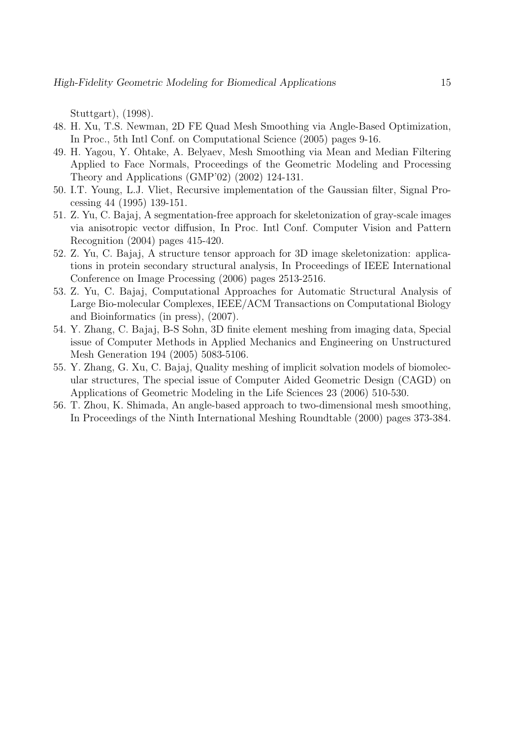Stuttgart), (1998).

- 48. H. Xu, T.S. Newman, 2D FE Quad Mesh Smoothing via Angle-Based Optimization, In Proc., 5th Intl Conf. on Computational Science (2005) pages 9-16.
- 49. H. Yagou, Y. Ohtake, A. Belyaev, Mesh Smoothing via Mean and Median Filtering Applied to Face Normals, Proceedings of the Geometric Modeling and Processing Theory and Applications (GMP'02) (2002) 124-131.
- 50. I.T. Young, L.J. Vliet, Recursive implementation of the Gaussian filter, Signal Processing 44 (1995) 139-151.
- 51. Z. Yu, C. Bajaj, A segmentation-free approach for skeletonization of gray-scale images via anisotropic vector diffusion, In Proc. Intl Conf. Computer Vision and Pattern Recognition (2004) pages 415-420.
- 52. Z. Yu, C. Bajaj, A structure tensor approach for 3D image skeletonization: applications in protein secondary structural analysis, In Proceedings of IEEE International Conference on Image Processing (2006) pages 2513-2516.
- 53. Z. Yu, C. Bajaj, Computational Approaches for Automatic Structural Analysis of Large Bio-molecular Complexes, IEEE/ACM Transactions on Computational Biology and Bioinformatics (in press), (2007).
- 54. Y. Zhang, C. Bajaj, B-S Sohn, 3D finite element meshing from imaging data, Special issue of Computer Methods in Applied Mechanics and Engineering on Unstructured Mesh Generation 194 (2005) 5083-5106.
- 55. Y. Zhang, G. Xu, C. Bajaj, Quality meshing of implicit solvation models of biomolecular structures, The special issue of Computer Aided Geometric Design (CAGD) on Applications of Geometric Modeling in the Life Sciences 23 (2006) 510-530.
- 56. T. Zhou, K. Shimada, An angle-based approach to two-dimensional mesh smoothing, In Proceedings of the Ninth International Meshing Roundtable (2000) pages 373-384.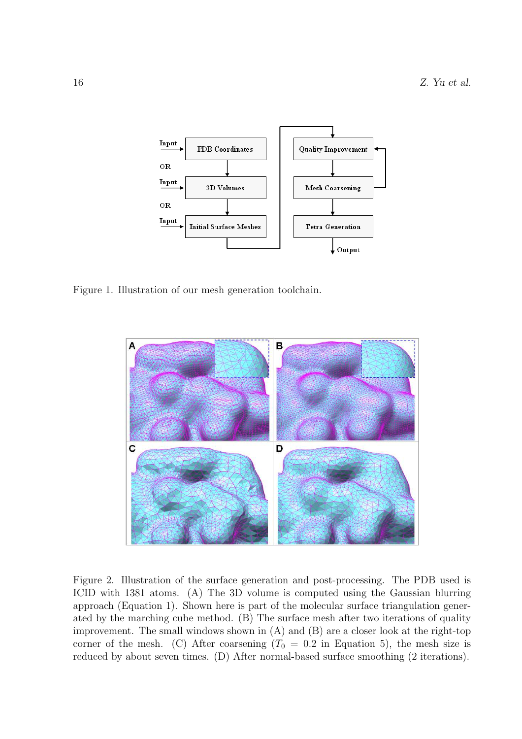

Figure 1. Illustration of our mesh generation toolchain.



Figure 2. Illustration of the surface generation and post-processing. The PDB used is ICID with 1381 atoms. (A) The 3D volume is computed using the Gaussian blurring approach (Equation 1). Shown here is part of the molecular surface triangulation generated by the marching cube method. (B) The surface mesh after two iterations of quality improvement. The small windows shown in (A) and (B) are a closer look at the right-top corner of the mesh. (C) After coarsening  $(T_0 = 0.2$  in Equation 5), the mesh size is reduced by about seven times. (D) After normal-based surface smoothing  $(2 \text{ iterations}).$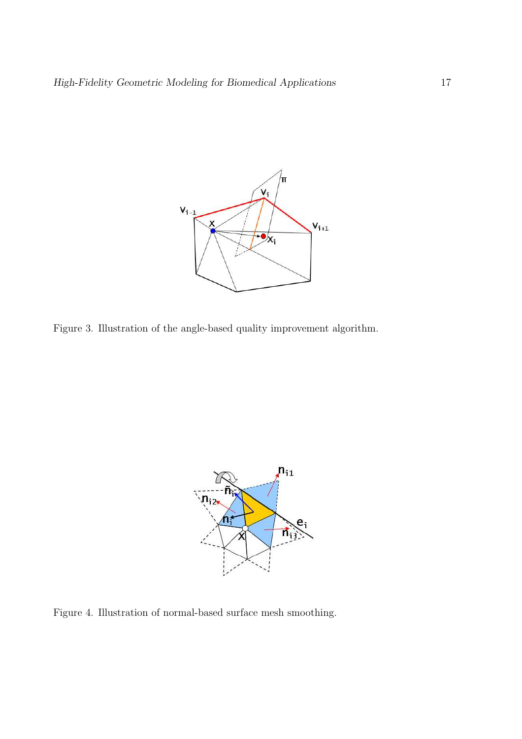

Figure 3. Illustration of the angle-based quality improvement algorithm.



Figure 4. Illustration of normal-based surface mesh smoothing.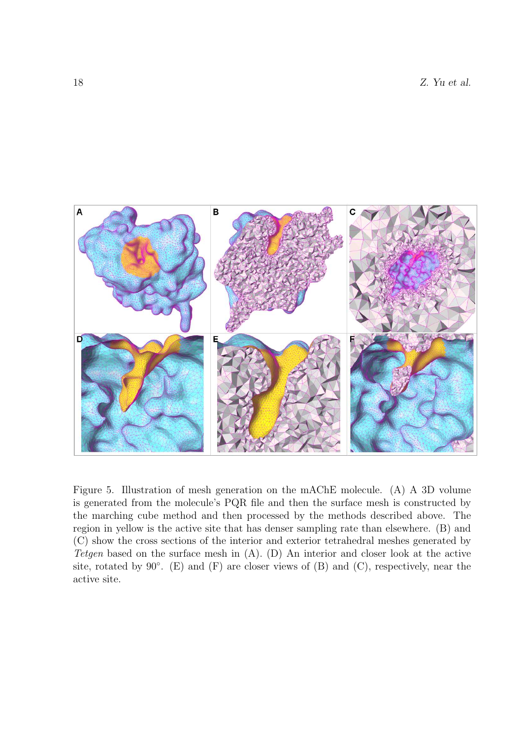

Figure 5. Illustration of mesh generation on the mAChE molecule. (A) A 3D volume is generated from the molecule's PQR file and then the surface mesh is constructed by the marching cube method and then processed by the methods described above. The region in yellow is the active site that has denser sampling rate than elsewhere. (B) and (C) show the cross sections of the interior and exterior tetrahedral meshes generated by Tetgen based on the surface mesh in (A). (D) An interior and closer look at the active site, rotated by 90°. (E) and  $(F)$  are closer views of  $(B)$  and  $(C)$ , respectively, near the active site.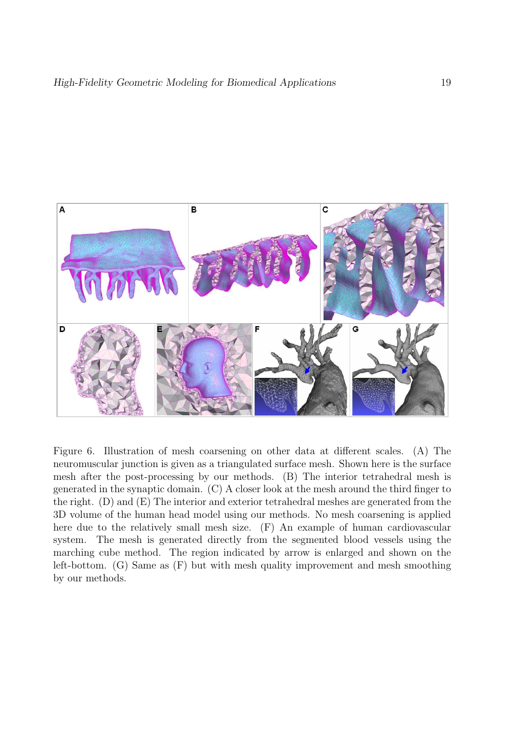

Figure 6. Illustration of mesh coarsening on other data at different scales. (A) The neuromuscular junction is given as a triangulated surface mesh. Shown here is the surface mesh after the post-processing by our methods. (B) The interior tetrahedral mesh is generated in the synaptic domain. (C) A closer look at the mesh around the third finger to the right. (D) and (E) The interior and exterior tetrahedral meshes are generated from the 3D volume of the human head model using our methods. No mesh coarsening is applied here due to the relatively small mesh size. (F) An example of human cardiovascular system. The mesh is generated directly from the segmented blood vessels using the marching cube method. The region indicated by arrow is enlarged and shown on the left-bottom. (G) Same as (F) but with mesh quality improvement and mesh smoothing by our methods.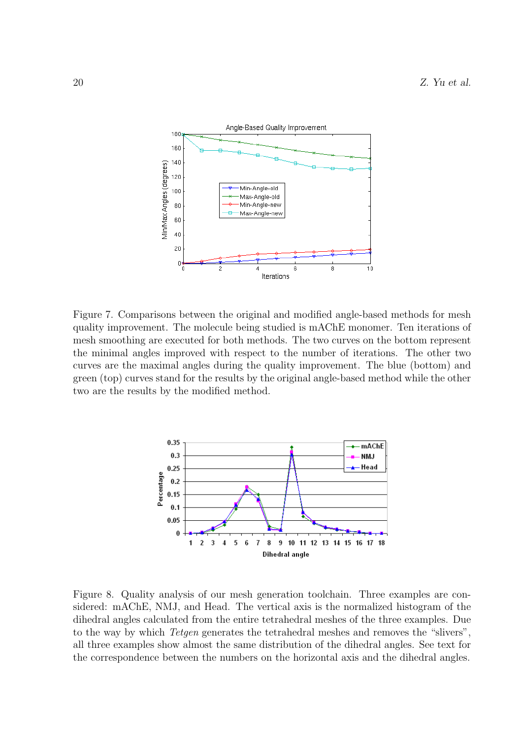![](_page_19_Figure_1.jpeg)

Figure 7. Comparisons between the original and modified angle-based methods for mesh quality improvement. The molecule being studied is mAChE monomer. Ten iterations of mesh smoothing are executed for both methods. The two curves on the bottom represent the minimal angles improved with respect to the number of iterations. The other two curves are the maximal angles during the quality improvement. The blue (bottom) and green (top) curves stand for the results by the original angle-based method while the other two are the results by the modified method.

![](_page_19_Figure_3.jpeg)

Figure 8. Quality analysis of our mesh generation toolchain. Three examples are considered: mAChE, NMJ, and Head. The vertical axis is the normalized histogram of the dihedral angles calculated from the entire tetrahedral meshes of the three examples. Due to the way by which *Tetgen* generates the tetrahedral meshes and removes the "slivers", all three examples show almost the same distribution of the dihedral angles. See text for the correspondence between the numbers on the horizontal axis and the dihedral angles.